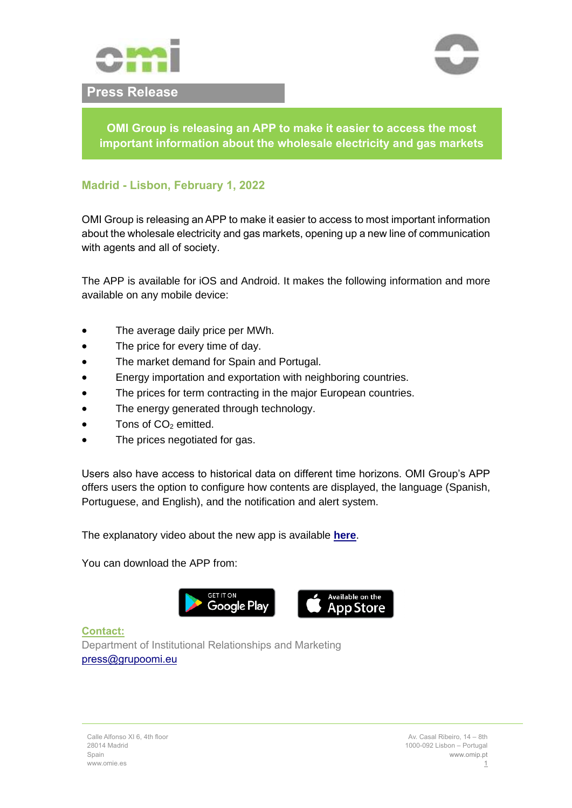

## **Press Release**



**OMI Group is releasing an APP to make it easier to access the most important information about the wholesale electricity and gas markets**

## **Madrid - Lisbon, February 1, 2022**

OMI Group is releasing an APP to make it easier to access to most important information about the wholesale electricity and gas markets, opening up a new line of communication with agents and all of society.

The APP is available for iOS and Android. It makes the following information and more available on any mobile device:

- The average daily price per MWh.
- The price for every time of day.
- The market demand for Spain and Portugal.
- Energy importation and exportation with neighboring countries.
- The prices for term contracting in the major European countries.
- The energy generated through technology.
- $\bullet$  Tons of  $CO<sub>2</sub>$  emitted.
- The prices negotiated for gas.

Users also have access to historical data on different time horizons. OMI Group's APP offers users the option to configure how contents are displayed, the language (Spanish, Portuguese, and English), and the notification and alert system.

The explanatory video about the new app is available **[here](https://youtu.be/ZzSm6TDgJ5o)**.

You can download the APP from:



**Contact:** Department of Institutional Relationships and Marketing [press@grupoomi.eu](mailto:press@grupoomi.eu)

Calle Alfonso XI 6, 4th floor 28014 Madrid Spain www.omie.es